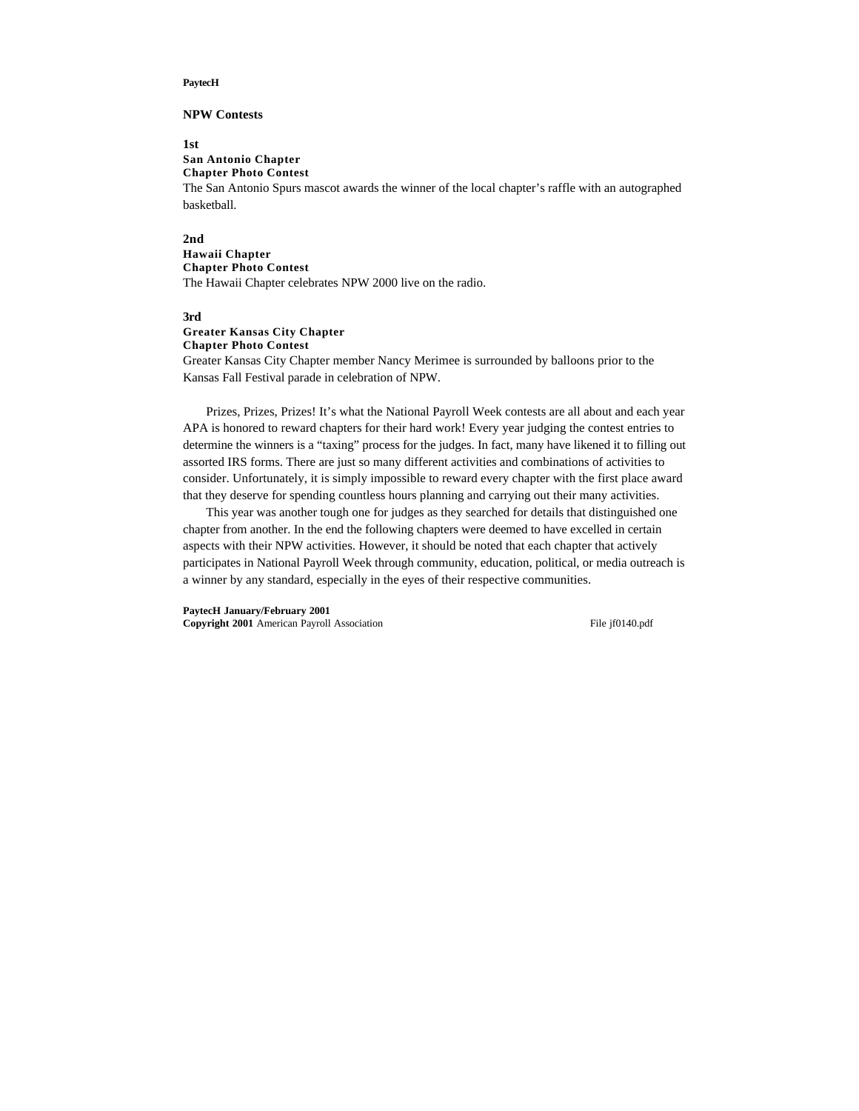#### **PaytecH**

### **NPW Contests**

**1st**

**San Antonio Chapter Chapter Photo Contest** The San Antonio Spurs mascot awards the winner of the local chapter's raffle with an autographed basketball.

#### **2nd**

### **Hawaii Chapter Chapter Photo Contest** The Hawaii Chapter celebrates NPW 2000 live on the radio.

#### **3rd**

# **Greater Kansas City Chapter**

**Chapter Photo Contest**

Greater Kansas City Chapter member Nancy Merimee is surrounded by balloons prior to the Kansas Fall Festival parade in celebration of NPW.

Prizes, Prizes, Prizes! It's what the National Payroll Week contests are all about and each year APA is honored to reward chapters for their hard work! Every year judging the contest entries to determine the winners is a "taxing" process for the judges. In fact, many have likened it to filling out assorted IRS forms. There are just so many different activities and combinations of activities to consider. Unfortunately, it is simply impossible to reward every chapter with the first place award that they deserve for spending countless hours planning and carrying out their many activities.

This year was another tough one for judges as they searched for details that distinguished one chapter from another. In the end the following chapters were deemed to have excelled in certain aspects with their NPW activities. However, it should be noted that each chapter that actively participates in National Payroll Week through community, education, political, or media outreach is a winner by any standard, especially in the eyes of their respective communities.

**PaytecH January/February 2001**

**Copyright 2001** American Payroll Association File jf0140.pdf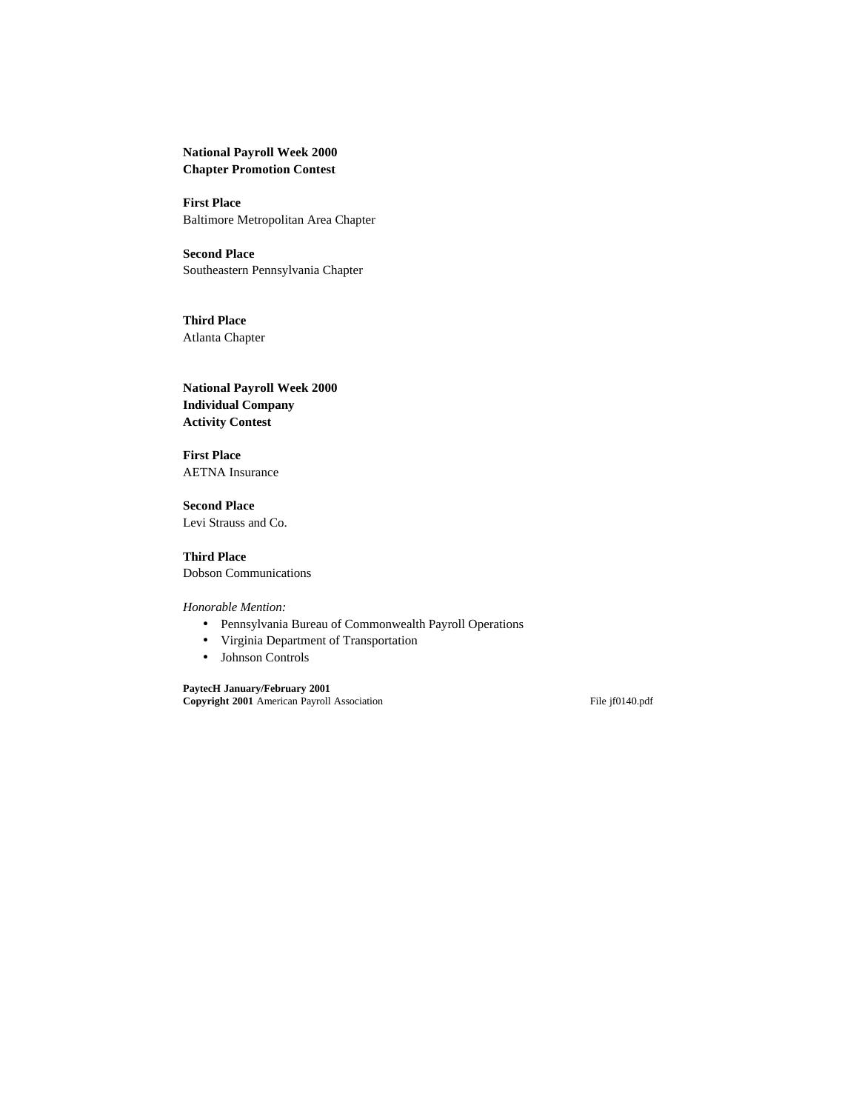**National Payroll Week 2000 Chapter Promotion Contest**

**First Place** Baltimore Metropolitan Area Chapter

**Second Place** Southeastern Pennsylvania Chapter

**Third Place** Atlanta Chapter

**National Payroll Week 2000 Individual Company Activity Contest**

**First Place** AETNA Insurance

**Second Place** Levi Strauss and Co.

**Third Place** Dobson Communications

*Honorable Mention:*

- Pennsylvania Bureau of Commonwealth Payroll Operations
- Virginia Department of Transportation
- Johnson Controls

**PaytecH January/February 2001 Copyright 2001** American Payroll Association File jf0140.pdf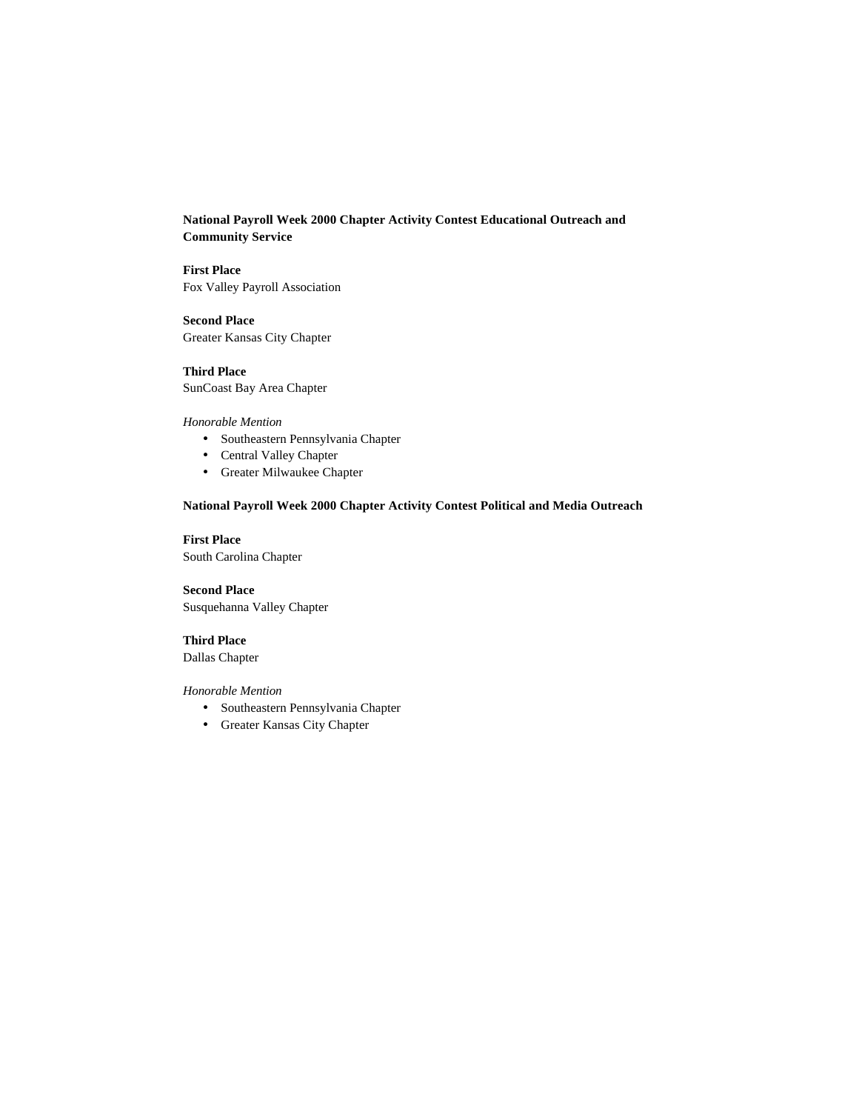**National Payroll Week 2000 Chapter Activity Contest Educational Outreach and Community Service**

**First Place** Fox Valley Payroll Association

**Second Place** Greater Kansas City Chapter

**Third Place** SunCoast Bay Area Chapter

#### *Honorable Mention*

- Southeastern Pennsylvania Chapter
- Central Valley Chapter
- Greater Milwaukee Chapter

## **National Payroll Week 2000 Chapter Activity Contest Political and Media Outreach**

## **First Place**

South Carolina Chapter

## **Second Place**

Susquehanna Valley Chapter

## **Third Place**

Dallas Chapter

## *Honorable Mention*

- Southeastern Pennsylvania Chapter
- Greater Kansas City Chapter